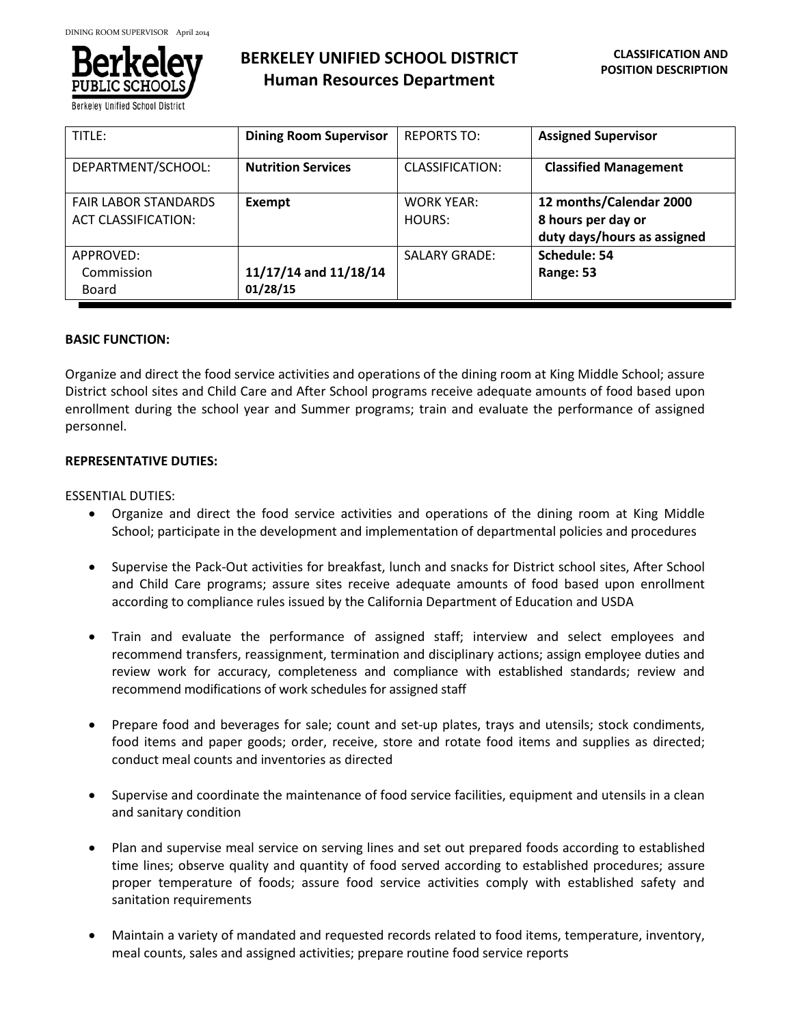

**Berkeley Unified School Dist** 

| TITLE:                                                    | <b>Dining Room Supervisor</b>     | <b>REPORTS TO:</b>          | <b>Assigned Supervisor</b>                                                   |
|-----------------------------------------------------------|-----------------------------------|-----------------------------|------------------------------------------------------------------------------|
| DEPARTMENT/SCHOOL:                                        | <b>Nutrition Services</b>         | CLASSIFICATION:             | <b>Classified Management</b>                                                 |
| <b>FAIR LABOR STANDARDS</b><br><b>ACT CLASSIFICATION:</b> | Exempt                            | <b>WORK YEAR:</b><br>HOURS: | 12 months/Calendar 2000<br>8 hours per day or<br>duty days/hours as assigned |
| APPROVED:<br>Commission<br>Board                          | 11/17/14 and 11/18/14<br>01/28/15 | <b>SALARY GRADE:</b>        | Schedule: 54<br>Range: 53                                                    |

## **BASIC FUNCTION:**

Organize and direct the food service activities and operations of the dining room at King Middle School; assure District school sites and Child Care and After School programs receive adequate amounts of food based upon enrollment during the school year and Summer programs; train and evaluate the performance of assigned personnel.

# **REPRESENTATIVE DUTIES:**

ESSENTIAL DUTIES:

- Organize and direct the food service activities and operations of the dining room at King Middle School; participate in the development and implementation of departmental policies and procedures
- Supervise the Pack-Out activities for breakfast, lunch and snacks for District school sites, After School and Child Care programs; assure sites receive adequate amounts of food based upon enrollment according to compliance rules issued by the California Department of Education and USDA
- Train and evaluate the performance of assigned staff; interview and select employees and recommend transfers, reassignment, termination and disciplinary actions; assign employee duties and review work for accuracy, completeness and compliance with established standards; review and recommend modifications of work schedules for assigned staff
- Prepare food and beverages for sale; count and set-up plates, trays and utensils; stock condiments, food items and paper goods; order, receive, store and rotate food items and supplies as directed; conduct meal counts and inventories as directed
- Supervise and coordinate the maintenance of food service facilities, equipment and utensils in a clean and sanitary condition
- Plan and supervise meal service on serving lines and set out prepared foods according to established time lines; observe quality and quantity of food served according to established procedures; assure proper temperature of foods; assure food service activities comply with established safety and sanitation requirements
- Maintain a variety of mandated and requested records related to food items, temperature, inventory, meal counts, sales and assigned activities; prepare routine food service reports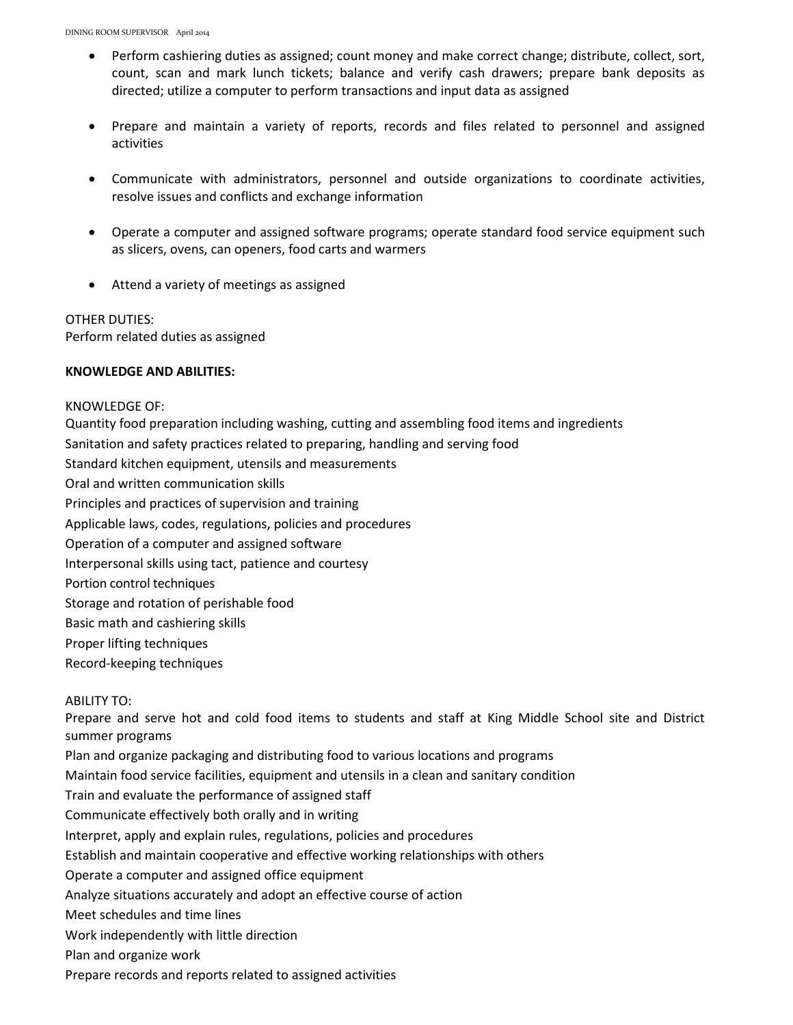- Perform cashiering duties as assigned; count money and make correct change; distribute, collect, sort, count, scan and mark lunch tickets; balance and verify cash drawers; prepare bank deposits as directed; utilize a computer to perform transactions and input data as assigned
- Prepare and maintain a variety of reports, records and files related to personnel and assigned activities
- Communicate with administrators, personnel and outside organizations to coordinate activities, resolve issues and conflicts and exchange information
- Operate a computer and assigned software programs; operate standard food service equipment such as slicers, ovens, can openers, food carts and warmers
- Attend a variety of meetings as assigned

OTHER DUTIES:

Perform related duties as assigned

# **KNOWLEDGE AND ABILITIES:**

KNOWLEDGE OF: Quantity food preparation including washing, cutting and assembling food items and ingredients Sanitation and safety practices related to preparing, handling and serving food Standard kitchen equipment, utensils and measurements Oral and written communication skills Principles and practices of supervision and training Applicable laws, codes, regulations, policies and procedures Operation of a computer and assigned software Interpersonal skills using tact, patience and courtesy Portion control techniques Storage and rotation of perishable food Basic math and cashiering skills Proper lifting techniques Record-keeping techniques ABILITY TO:

Prepare and serve hot and cold food items to students and staff at King Middle School site and District summer programs Plan and organize packaging and distributing food to various locations and programs Maintain food service facilities, equipment and utensils in a clean and sanitary condition Train and evaluate the performance of assigned staff Communicate effectively both orally and in writing Interpret, apply and explain rules, regulations, policies and procedures Establish and maintain cooperative and effective working relationships with others Operate a computer and assigned office equipment Analyze situations accurately and adopt an effective course of action Meet schedules and time lines Work independently with little direction Plan and organize work Prepare records and reports related to assigned activities